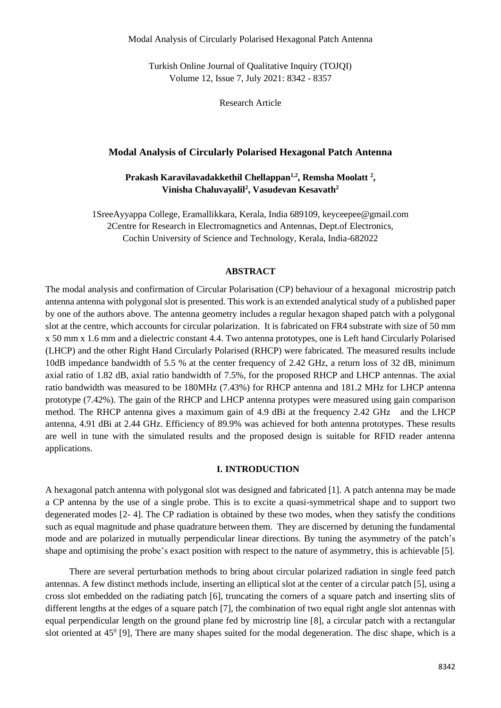Turkish Online Journal of Qualitative Inquiry (TOJQI) Volume 12, Issue 7, July 2021: 8342 - 8357

Research Article

### **Modal Analysis of Circularly Polarised Hexagonal Patch Antenna**

**Prakash Karavilavadakkethil Chellappan1,2, Remsha Moolatt <sup>2</sup> , Vinisha Chaluvayalil<sup>2</sup> , Vasudevan Kesavath<sup>2</sup>**

1SreeAyyappa College, Eramallikkara, Kerala, India 689109, keyceepee@gmail.com 2Centre for Research in Electromagnetics and Antennas, Dept.of Electronics, Cochin University of Science and Technology, Kerala, India-682022

### **ABSTRACT**

The modal analysis and confirmation of Circular Polarisation (CP) behaviour of a hexagonal microstrip patch antenna antenna with polygonal slot is presented. This work is an extended analytical study of a published paper by one of the authors above. The antenna geometry includes a regular hexagon shaped patch with a polygonal slot at the centre, which accounts for circular polarization. It is fabricated on FR4 substrate with size of 50 mm x 50 mm x 1.6 mm and a dielectric constant 4.4. Two antenna prototypes, one is Left hand Circularly Polarised (LHCP) and the other Right Hand Circularly Polarised (RHCP) were fabricated. The measured results include 10dB impedance bandwidth of 5.5 % at the center frequency of 2.42 GHz, a return loss of 32 dB, minimum axial ratio of 1.82 dB, axial ratio bandwidth of 7.5%, for the proposed RHCP and LHCP antennas. The axial ratio bandwidth was measured to be 180MHz (7.43%) for RHCP antenna and 181.2 MHz for LHCP antenna prototype (7.42%). The gain of the RHCP and LHCP antenna protypes were measured using gain comparison method. The RHCP antenna gives a maximum gain of 4.9 dBi at the frequency 2.42 GHz and the LHCP antenna, 4.91 dBi at 2.44 GHz. Efficiency of 89.9% was achieved for both antenna prototypes. These results are well in tune with the simulated results and the proposed design is suitable for RFID reader antenna applications.

#### **I. INTRODUCTION**

A hexagonal patch antenna with polygonal slot was designed and fabricated [1]. A patch antenna may be made a CP antenna by the use of a single probe. This is to excite a quasi-symmetrical shape and to support two degenerated modes [2- 4]. The CP radiation is obtained by these two modes, when they satisfy the conditions such as equal magnitude and phase quadrature between them. They are discerned by detuning the fundamental mode and are polarized in mutually perpendicular linear directions. By tuning the asymmetry of the patch's shape and optimising the probe's exact position with respect to the nature of asymmetry, this is achievable [5].

There are several perturbation methods to bring about circular polarized radiation in single feed patch antennas. A few distinct methods include, inserting an elliptical slot at the center of a circular patch [5], using a cross slot embedded on the radiating patch [6], truncating the corners of a square patch and inserting slits of different lengths at the edges of a square patch [7], the combination of two equal right angle slot antennas with equal perpendicular length on the ground plane fed by microstrip line [8], a circular patch with a rectangular slot oriented at  $45^{\circ}$  [9], There are many shapes suited for the modal degeneration. The disc shape, which is a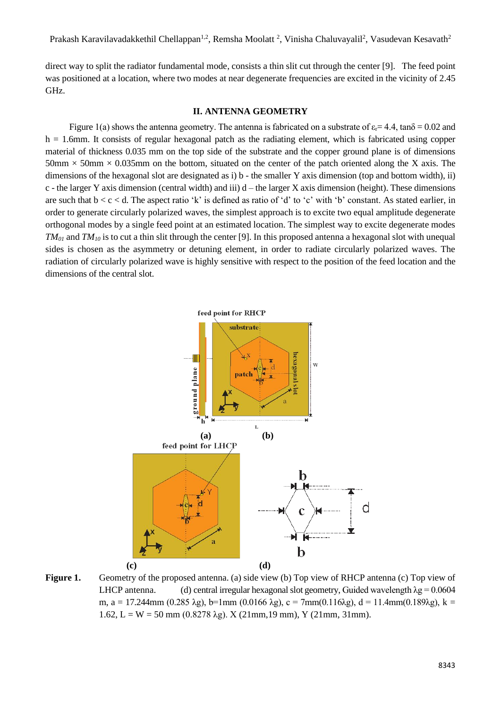direct way to split the radiator fundamental mode, consists a thin slit cut through the center [9]. The feed point was positioned at a location, where two modes at near degenerate frequencies are excited in the vicinity of 2.45 GHz.

## **II. ANTENNA GEOMETRY**

Figure 1(a) shows the antenna geometry. The antenna is fabricated on a substrate of  $\varepsilon = 4.4$ , tan $\delta = 0.02$  and  $h = 1.6$ mm. It consists of regular hexagonal patch as the radiating element, which is fabricated using copper material of thickness 0.035 mm on the top side of the substrate and the copper ground plane is of dimensions  $50\text{mm} \times 50\text{mm} \times 0.035\text{mm}$  on the bottom, situated on the center of the patch oriented along the X axis. The dimensions of the hexagonal slot are designated as i) b - the smaller Y axis dimension (top and bottom width), ii) c - the larger Y axis dimension (central width) and iii)  $d$  – the larger X axis dimension (height). These dimensions are such that  $b < c < d$ . The aspect ratio 'k' is defined as ratio of 'd' to 'c' with 'b' constant. As stated earlier, in order to generate circularly polarized waves, the simplest approach is to excite two equal amplitude degenerate orthogonal modes by a single feed point at an estimated location. The simplest way to excite degenerate modes *TM<sup>01</sup>* and *TM<sup>10</sup>* is to cut a thin slit through the center [9]. In this proposed antenna a hexagonal slot with unequal sides is chosen as the asymmetry or detuning element, in order to radiate circularly polarized waves. The radiation of circularly polarized wave is highly sensitive with respect to the position of the feed location and the dimensions of the central slot.



**Figure 1.** Geometry of the proposed antenna. (a) side view (b) Top view of RHCP antenna (c) Top view of LHCP antenna. (d) central irregular hexagonal slot geometry, Guided wavelength  $\lambda$ g = 0.0604 m, a = 17.244mm (0.285 λg), b=1mm (0.0166 λg), c = 7mm(0.116λg), d = 11.4mm(0.189λg), k = 1.62, L = W = 50 mm (0.8278  $\lambda$ g). X (21mm, 19 mm), Y (21mm, 31mm).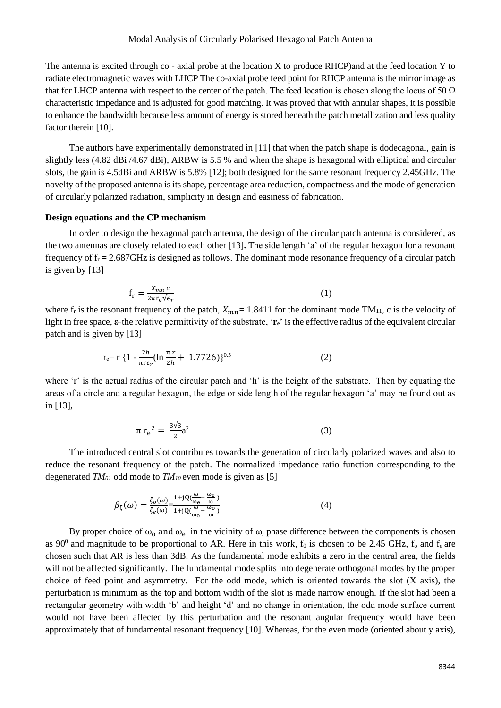#### Modal Analysis of Circularly Polarised Hexagonal Patch Antenna

The antenna is excited through co - axial probe at the location X to produce RHCP)and at the feed location Y to radiate electromagnetic waves with LHCP The co-axial probe feed point for RHCP antenna is the mirror image as that for LHCP antenna with respect to the center of the patch. The feed location is chosen along the locus of 50  $\Omega$ characteristic impedance and is adjusted for good matching. It was proved that with annular shapes, it is possible to enhance the bandwidth because less amount of energy is stored beneath the patch metallization and less quality factor therein [10].

The authors have experimentally demonstrated in [11] that when the patch shape is dodecagonal, gain is slightly less (4.82 dBi /4.67 dBi), ARBW is 5.5 % and when the shape is hexagonal with elliptical and circular slots, the gain is 4.5dBi and ARBW is 5.8% [12]; both designed for the same resonant frequency 2.45GHz. The novelty of the proposed antenna is its shape, percentage area reduction, compactness and the mode of generation of circularly polarized radiation, simplicity in design and easiness of fabrication.

## **Design equations and the CP mechanism**

In order to design the hexagonal patch antenna, the design of the circular patch antenna is considered, as the two antennas are closely related to each other [13]**.** The side length 'a' of the regular hexagon for a resonant frequency of  $f_r = 2.687$ GHz is designed as follows. The dominant mode resonance frequency of a circular patch is given by [13]

$$
f_r = \frac{X_{mn} c}{2\pi r_e \sqrt{\epsilon_r}}\tag{1}
$$

where  $f_r$  is the resonant frequency of the patch,  $X_{mn} = 1.8411$  for the dominant mode TM<sub>11</sub>, c is the velocity of light in free space, **ε<sup>r</sup>** the relative permittivity of the substrate, '**re**' is the effective radius of the equivalent circular patch and is given by [13]

$$
r_{e} = r \left\{ 1 - \frac{2h}{\pi r \epsilon_r} (\ln \frac{\pi r}{2h} + 1.7726) \right\}^{0.5}
$$
 (2)

where 'r' is the actual radius of the circular patch and 'h' is the height of the substrate. Then by equating the areas of a circle and a regular hexagon, the edge or side length of the regular hexagon 'a' may be found out as in [13],

$$
\pi r_e^2 = \frac{3\sqrt{3}}{2}a^2\tag{3}
$$

The introduced central slot contributes towards the generation of circularly polarized waves and also to reduce the resonant frequency of the patch. The normalized impedance ratio function corresponding to the degenerated *TM<sup>01</sup>* odd mode to *TM10* even mode is given as [5]

$$
\beta_{\zeta}(\omega) = \frac{\zeta_0(\omega)}{\zeta_e(\omega)} = \frac{1 + jQ(\frac{\omega}{\omega_e} - \frac{\omega_e}{\omega})}{1 + jQ(\frac{\omega}{\omega_0} - \frac{\omega_0}{\omega})}
$$
(4)

By proper choice of  $\omega_0$  and  $\omega_e$  in the vicinity of  $\omega$ , phase difference between the components is chosen as  $90^0$  and magnitude to be proportional to AR. Here in this work,  $f_0$  is chosen to be 2.45 GHz,  $f_0$  and  $f_e$  are chosen such that AR is less than 3dB. As the fundamental mode exhibits a zero in the central area, the fields will not be affected significantly. The fundamental mode splits into degenerate orthogonal modes by the proper choice of feed point and asymmetry. For the odd mode, which is oriented towards the slot (X axis), the perturbation is minimum as the top and bottom width of the slot is made narrow enough. If the slot had been a rectangular geometry with width 'b' and height 'd' and no change in orientation, the odd mode surface current would not have been affected by this perturbation and the resonant angular frequency would have been approximately that of fundamental resonant frequency [10]. Whereas, for the even mode (oriented about y axis),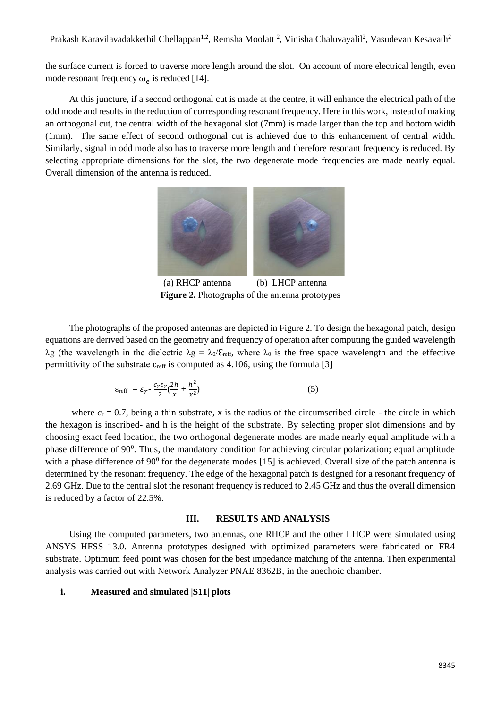the surface current is forced to traverse more length around the slot. On account of more electrical length, even mode resonant frequency  $\omega_e$  is reduced [14].

At this juncture, if a second orthogonal cut is made at the centre, it will enhance the electrical path of the odd mode and results in the reduction of corresponding resonant frequency. Here in this work, instead of making an orthogonal cut, the central width of the hexagonal slot (7mm) is made larger than the top and bottom width (1mm). The same effect of second orthogonal cut is achieved due to this enhancement of central width. Similarly, signal in odd mode also has to traverse more length and therefore resonant frequency is reduced. By selecting appropriate dimensions for the slot, the two degenerate mode frequencies are made nearly equal. Overall dimension of the antenna is reduced.



 (a) RHCP antenna (b) LHCP antenna **Figure 2.** Photographs of the antenna prototypes

The photographs of the proposed antennas are depicted in Figure 2. To design the hexagonal patch, design equations are derived based on the geometry and frequency of operation after computing the guided wavelength λg (the wavelength in the dielectric  $\lambda$ g = λ<sub>0</sub>/ε<sub>reff</sub>, where λ<sub>0</sub> is the free space wavelength and the effective permittivity of the substrate  $\varepsilon_{\text{reff}}$  is computed as 4.106, using the formula [3]

$$
\varepsilon_{\text{reff}} = \varepsilon_r - \frac{c_r \varepsilon_r}{2} \left( \frac{2h}{x} + \frac{h^2}{x^2} \right) \tag{5}
$$

where  $c_r = 0.7$ , being a thin substrate, x is the radius of the circumscribed circle - the circle in which the hexagon is inscribed- and h is the height of the substrate. By selecting proper slot dimensions and by choosing exact feed location, the two orthogonal degenerate modes are made nearly equal amplitude with a phase difference of  $90^0$ . Thus, the mandatory condition for achieving circular polarization; equal amplitude with a phase difference of  $90^{\circ}$  for the degenerate modes [15] is achieved. Overall size of the patch antenna is determined by the resonant frequency. The edge of the hexagonal patch is designed for a resonant frequency of 2.69 GHz. Due to the central slot the resonant frequency is reduced to 2.45 GHz and thus the overall dimension is reduced by a factor of 22.5%.

#### **III. RESULTS AND ANALYSIS**

Using the computed parameters, two antennas, one RHCP and the other LHCP were simulated using ANSYS HFSS 13.0. Antenna prototypes designed with optimized parameters were fabricated on FR4 substrate. Optimum feed point was chosen for the best impedance matching of the antenna. Then experimental analysis was carried out with Network Analyzer PNAE 8362B, in the anechoic chamber.

#### **i. Measured and simulated |S11| plots**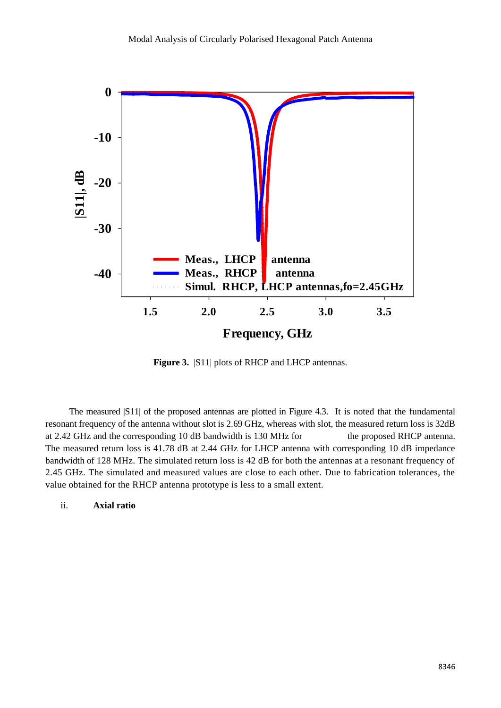

**Figure 3.** |S11| plots of RHCP and LHCP antennas.

The measured |S11| of the proposed antennas are plotted in Figure 4.3. It is noted that the fundamental resonant frequency of the antenna without slot is 2.69 GHz, whereas with slot, the measured return loss is 32dB at 2.42 GHz and the corresponding 10 dB bandwidth is 130 MHz for the proposed RHCP antenna. The measured return loss is 41.78 dB at 2.44 GHz for LHCP antenna with corresponding 10 dB impedance bandwidth of 128 MHz. The simulated return loss is 42 dB for both the antennas at a resonant frequency of 2.45 GHz. The simulated and measured values are close to each other. Due to fabrication tolerances, the value obtained for the RHCP antenna prototype is less to a small extent.

## ii. **Axial ratio**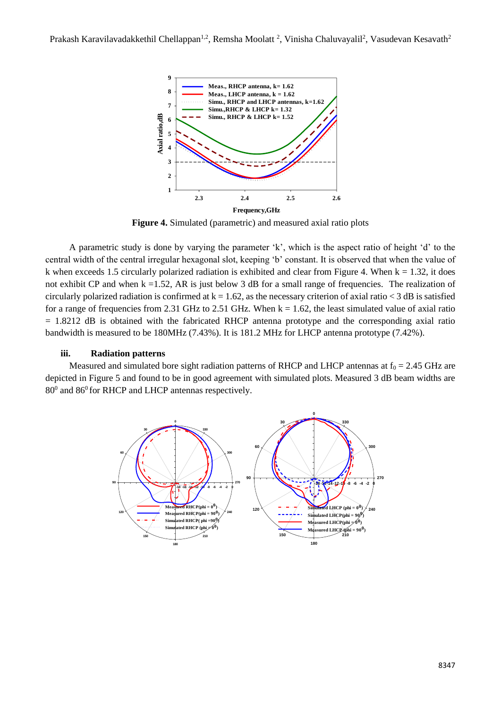

**Figure 4.** Simulated (parametric) and measured axial ratio plots

A parametric study is done by varying the parameter 'k', which is the aspect ratio of height 'd' to the central width of the central irregular hexagonal slot, keeping 'b' constant. It is observed that when the value of k when exceeds 1.5 circularly polarized radiation is exhibited and clear from Figure 4. When  $k = 1.32$ , it does not exhibit CP and when  $k = 1.52$ , AR is just below 3 dB for a small range of frequencies. The realization of circularly polarized radiation is confirmed at  $k = 1.62$ , as the necessary criterion of axial ratio  $<$  3 dB is satisfied for a range of frequencies from 2.31 GHz to 2.51 GHz. When  $k = 1.62$ , the least simulated value of axial ratio  $= 1.8212$  dB is obtained with the fabricated RHCP antenna prototype and the corresponding axial ratio bandwidth is measured to be 180MHz (7.43%). It is 181.2 MHz for LHCP antenna prototype (7.42%).

## **iii. Radiation patterns**

Measured and simulated bore sight radiation patterns of RHCP and LHCP antennas at  $f_0 = 2.45$  GHz are depicted in Figure 5 and found to be in good agreement with simulated plots. Measured 3 dB beam widths are  $80^0$  and  $86^0$  for RHCP and LHCP antennas respectively.

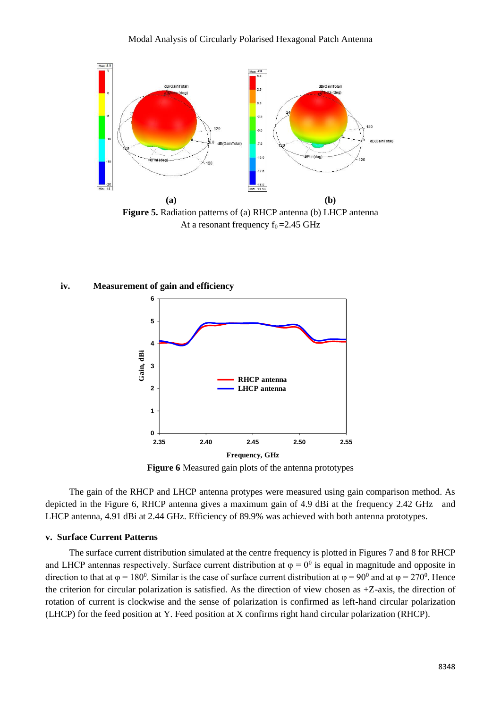

**Figure 5.** Radiation patterns of (a) RHCP antenna (b) LHCP antenna At a resonant frequency  $f_0 = 2.45$  GHz

#### **iv. Measurement of gain and efficiency**



**Figure 6** Measured gain plots of the antenna prototypes

The gain of the RHCP and LHCP antenna protypes were measured using gain comparison method. As depicted in the Figure 6, RHCP antenna gives a maximum gain of 4.9 dBi at the frequency 2.42 GHz and LHCP antenna, 4.91 dBi at 2.44 GHz. Efficiency of 89.9% was achieved with both antenna prototypes.

## **v. Surface Current Patterns**

The surface current distribution simulated at the centre frequency is plotted in Figures 7 and 8 for RHCP and LHCP antennas respectively. Surface current distribution at  $\varphi = 0^0$  is equal in magnitude and opposite in direction to that at  $\varphi = 180^{\circ}$ . Similar is the case of surface current distribution at  $\varphi = 90^{\circ}$  and at  $\varphi = 270^{\circ}$ . Hence the criterion for circular polarization is satisfied. As the direction of view chosen as +Z-axis, the direction of rotation of current is clockwise and the sense of polarization is confirmed as left-hand circular polarization (LHCP) for the feed position at Y. Feed position at X confirms right hand circular polarization (RHCP).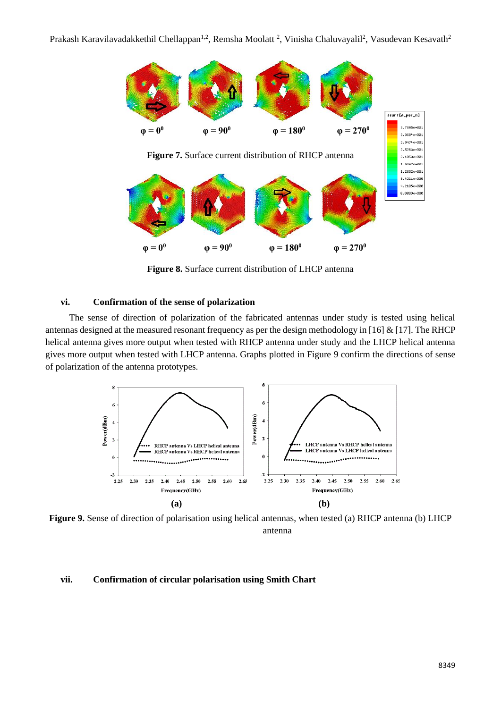

**Figure 8.** Surface current distribution of LHCP antenna

#### **vi. Confirmation of the sense of polarization**

The sense of direction of polarization of the fabricated antennas under study is tested using helical antennas designed at the measured resonant frequency as per the design methodology in [16] & [17]. The RHCP helical antenna gives more output when tested with RHCP antenna under study and the LHCP helical antenna gives more output when tested with LHCP antenna. Graphs plotted in Figure 9 confirm the directions of sense of polarization of the antenna prototypes.



**Figure 9.** Sense of direction of polarisation using helical antennas, when tested (a) RHCP antenna (b) LHCP antenna

## **vii. Confirmation of circular polarisation using Smith Chart**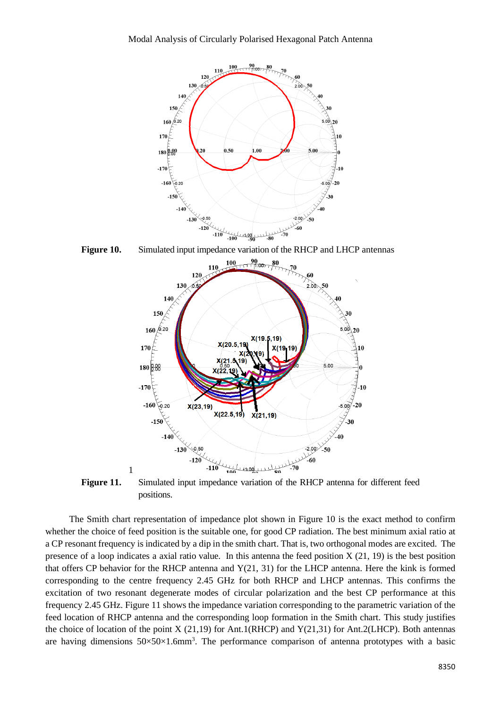

**Figure 10.** Simulated input impedance variation of the RHCP and LHCP antennas



**Figure 11.** Simulated input impedance variation of the RHCP antenna for different feed positions.

The Smith chart representation of impedance plot shown in Figure 10 is the exact method to confirm whether the choice of feed position is the suitable one, for good CP radiation. The best minimum axial ratio at a CP resonant frequency is indicated by a dip in the smith chart. That is, two orthogonal modes are excited. The presence of a loop indicates a axial ratio value. In this antenna the feed position X (21, 19) is the best position that offers CP behavior for the RHCP antenna and Y(21, 31) for the LHCP antenna. Here the kink is formed corresponding to the centre frequency 2.45 GHz for both RHCP and LHCP antennas. This confirms the excitation of two resonant degenerate modes of circular polarization and the best CP performance at this frequency 2.45 GHz. Figure 11 shows the impedance variation corresponding to the parametric variation of the feed location of RHCP antenna and the corresponding loop formation in the Smith chart. This study justifies the choice of location of the point X (21,19) for Ant.1(RHCP) and Y(21,31) for Ant.2(LHCP). Both antennas are having dimensions  $50 \times 50 \times 1.6$ mm<sup>3</sup>. The performance comparison of antenna prototypes with a basic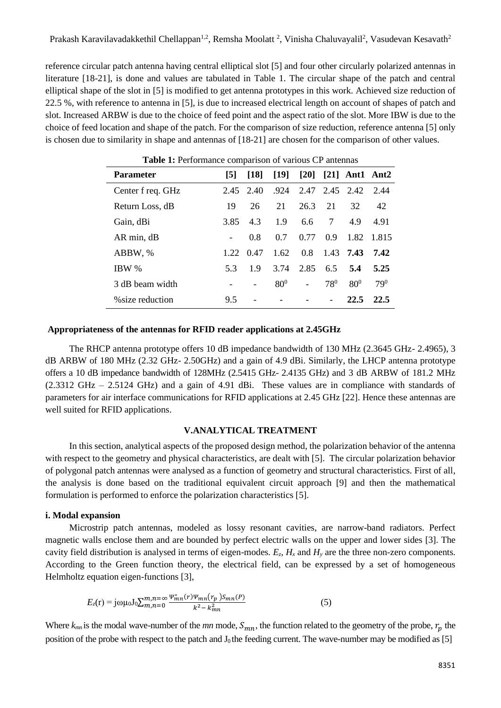reference circular patch antenna having central elliptical slot [5] and four other circularly polarized antennas in literature [18-21], is done and values are tabulated in Table 1. The circular shape of the patch and central elliptical shape of the slot in [5] is modified to get antenna prototypes in this work. Achieved size reduction of 22.5 %, with reference to antenna in [5], is due to increased electrical length on account of shapes of patch and slot. Increased ARBW is due to the choice of feed point and the aspect ratio of the slot. More IBW is due to the choice of feed location and shape of the patch. For the comparison of size reduction, reference antenna [5] only is chosen due to similarity in shape and antennas of [18-21] are chosen for the comparison of other values.

| <b>Parameter</b>  | [5]  | $\lceil 18 \rceil$ | $[19]$          |                             |          | $[20]$ $[21]$ Ant1 Ant2 |          |
|-------------------|------|--------------------|-----------------|-----------------------------|----------|-------------------------|----------|
| Center f req. GHz | 2.45 | 2.40               |                 | $.924$ $2.47$ $2.45$ $2.42$ |          |                         | -2.44    |
| Return Loss, dB   | 19   | 26                 | 21              | 26.3                        | 21       | 32                      | 42       |
| Gain, dBi         | 3.85 | 4.3                | 1.9             | 6.6                         | 7        | 4.9                     | 4.91     |
| AR min, dB        |      | 0.8                | 0.7             | 0.77                        | 0.9      | 1.82                    | 1.815    |
| ABBW, %           | 1.22 | 0.47               | 1.62            | 0.8                         |          | 1.43 7.43               | 7.42     |
| IBW %             | 5.3  | 1.9                | 3.74            | 2.85                        | 6.5      | 5.4                     | 5.25     |
| 3 dB beam width   |      |                    | 80 <sup>0</sup> |                             | $78^{0}$ | $80^{0}$                | $79^{0}$ |
| % size reduction  | 9.5  |                    |                 |                             |          | 22.5                    | 22.5     |

**Table 1:** Performance comparison of various CP antennas

#### **Appropriateness of the antennas for RFID reader applications at 2.45GHz**

The RHCP antenna prototype offers 10 dB impedance bandwidth of 130 MHz (2.3645 GHz- 2.4965), 3 dB ARBW of 180 MHz (2.32 GHz- 2.50GHz) and a gain of 4.9 dBi. Similarly, the LHCP antenna prototype offers a 10 dB impedance bandwidth of 128MHz (2.5415 GHz- 2.4135 GHz) and 3 dB ARBW of 181.2 MHz (2.3312 GHz – 2.5124 GHz) and a gain of 4.91 dBi. These values are in compliance with standards of parameters for air interface communications for RFID applications at 2.45 GHz [22]. Hence these antennas are well suited for RFID applications.

## **V.ANALYTICAL TREATMENT**

In this section, analytical aspects of the proposed design method, the polarization behavior of the antenna with respect to the geometry and physical characteristics, are dealt with [5]. The circular polarization behavior of polygonal patch antennas were analysed as a function of geometry and structural characteristics. First of all, the analysis is done based on the traditional equivalent circuit approach [9] and then the mathematical formulation is performed to enforce the polarization characteristics [5].

# **i. Modal expansion**

Microstrip patch antennas, modeled as lossy resonant cavities, are narrow-band radiators. Perfect magnetic walls enclose them and are bounded by perfect electric walls on the upper and lower sides [3]. The cavity field distribution is analysed in terms of eigen-modes.  $E_z$ ,  $H_x$  and  $H_y$  are the three non-zero components. According to the Green function theory, the electrical field, can be expressed by a set of homogeneous Helmholtz equation eigen-functions [3],

$$
E_z(\mathbf{r}) = j\omega\mu_0 J_0 \sum_{m,n=0}^{m,n=\infty} \frac{\Psi_{mn}^*(r)\Psi_{mn}(r_p)S_{mn}(P)}{k^2 - k_{mn}^2}
$$
(5)

Where  $k_{mn}$  is the modal wave-number of the  $mn$  mode,  $S_{mn}$ , the function related to the geometry of the probe,  $r_p$  the position of the probe with respect to the patch and  $J_0$  the feeding current. The wave-number may be modified as [5]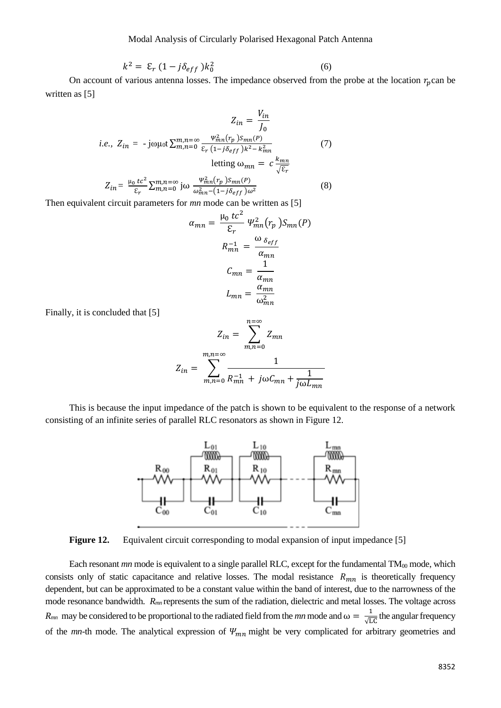$$
k^2 = \mathcal{E}_r \left( 1 - j \delta_{eff} \right) k_0^2 \tag{6}
$$

On account of various antenna losses. The impedance observed from the probe at the location  $r_p$ can be written as [5]

$$
Z_{in} = \frac{V_{in}}{J_0}
$$
  
*i.e.*,  $Z_{in} = -j\omega\mu_0 t \sum_{m,n=0}^{m,n=\infty} \frac{\Psi_{mn}^2(r_p) S_{mn}(P)}{\varepsilon_r (1-j\delta_{eff})k^2 - k_{mn}^2}$  (7)  
letting  $\omega_{mn} = c \frac{k_{mn}}{\sqrt{\varepsilon_r}}$   

$$
Z_{in} = \frac{\mu_0 t c^2}{\varepsilon_r} \sum_{m,n=0}^{m,n=\infty} j\omega \frac{\Psi_{mn}^2(r_p) S_{mn}(P)}{\omega_{mn}^2 - (1-j\delta_{eff})\omega^2}
$$
 (8)

Then equivalent circuit parameters for *mn* mode can be written as [5]

$$
\alpha_{mn} = \frac{\mu_0 \, tc^2}{\varepsilon_r} \, \Psi_{mn}^2(r_p \,) S_{mn}(P)
$$
\n
$$
R_{mn}^{-1} = \frac{\omega_{\delta_{eff}}}{\alpha_{mn}}
$$
\n
$$
C_{mn} = \frac{1}{\alpha_{mn}}
$$
\n
$$
L_{mn} = \frac{\alpha_{mn}}{\omega_{mn}^2}
$$

Finally, it is concluded that [5]

$$
Z_{in} = \sum_{m,n=0}^{n=\infty} Z_{mn}
$$

$$
Z_{in} = \sum_{m,n=0}^{m,n=\infty} \frac{1}{R_{mn}^{-1} + j\omega C_{mn} + \frac{1}{j\omega L_{mn}}}
$$

This is because the input impedance of the patch is shown to be equivalent to the response of a network consisting of an infinite series of parallel RLC resonators as shown in Figure 12.



**Figure 12.** Equivalent circuit corresponding to modal expansion of input impedance [5]

Each resonant *mn* mode is equivalent to a single parallel RLC, except for the fundamental TM<sub>00</sub> mode, which consists only of static capacitance and relative losses. The modal resistance  $R_{mn}$  is theoretically frequency dependent, but can be approximated to be a constant value within the band of interest, due to the narrowness of the mode resonance bandwidth.  $R_{mn}$  represents the sum of the radiation, dielectric and metal losses. The voltage across  $R_{mn}$  may be considered to be proportional to the radiated field from the *mn* mode and  $\omega = \frac{1}{\sqrt{n}}$  $\frac{1}{\sqrt{LC}}$  the angular frequency of the  $mn$ -th mode. The analytical expression of  $\Psi_{mn}$  might be very complicated for arbitrary geometries and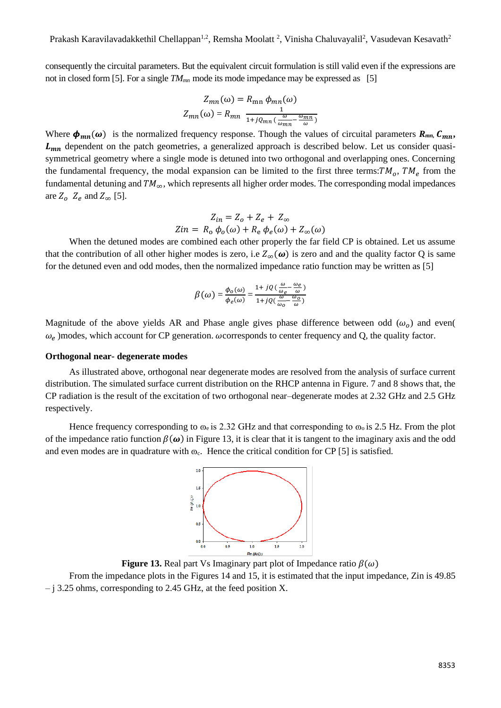consequently the circuital parameters. But the equivalent circuit formulation is still valid even if the expressions are not in closed form [5]. For a single  $TM_{mn}$  mode its mode impedance may be expressed as [5]

$$
Z_{mn}(\omega) = R_{mn} \phi_{mn}(\omega)
$$

$$
Z_{mn}(\omega) = R_{mn} \frac{1}{1 + j \varrho_{mn} \left(\frac{\omega}{\omega_{mn}} - \frac{\omega_{mn}}{\omega}\right)}
$$

Where  $\phi_{mn}(\omega)$  is the normalized frequency response. Though the values of circuital parameters  $R_{mn}$ ,  $C_{mn}$ ,  $L_{mn}$  dependent on the patch geometries, a generalized approach is described below. Let us consider quasisymmetrical geometry where a single mode is detuned into two orthogonal and overlapping ones. Concerning the fundamental frequency, the modal expansion can be limited to the first three terms:  $TM_0$ ,  $TM_e$  from the fundamental detuning and  $TM_{\infty}$ , which represents all higher order modes. The corresponding modal impedances are  $Z_o$   $Z_e$  and  $Z_{\infty}$  [5].

$$
Z_{in} = Z_o + Z_e + Z_{\infty}
$$
  

$$
Z_{in} = R_o \phi_o(\omega) + R_e \phi_e(\omega) + Z_{\infty}(\omega)
$$

When the detuned modes are combined each other properly the far field CP is obtained. Let us assume that the contribution of all other higher modes is zero, i.e  $Z_{\infty}(\omega)$  is zero and and the quality factor Q is same for the detuned even and odd modes, then the normalized impedance ratio function may be written as [5]

$$
\beta(\omega) = \frac{\phi_o(\omega)}{\phi_e(\omega)} = \frac{1 + j \left( \left( \frac{\omega}{\omega_e} - \frac{\omega_e}{\omega} \right) \right)}{1 + j \left( \left( \frac{\omega}{\omega_o} - \frac{\omega_o}{\omega} \right) \right)}
$$

Magnitude of the above yields AR and Phase angle gives phase difference between odd  $(\omega_o)$  and even(  $\omega_e$ )modes, which account for CP generation.  $\omega$ corresponds to center frequency and Q, the quality factor.

#### **Orthogonal near- degenerate modes**

As illustrated above, orthogonal near degenerate modes are resolved from the analysis of surface current distribution. The simulated surface current distribution on the RHCP antenna in Figure. 7 and 8 shows that, the CP radiation is the result of the excitation of two orthogonal near–degenerate modes at 2.32 GHz and 2.5 GHz respectively.

Hence frequency corresponding to  $\omega_e$  is 2.32 GHz and that corresponding to  $\omega_o$  is 2.5 Hz. From the plot of the impedance ratio function  $\beta(\omega)$  in Figure 13, it is clear that it is tangent to the imaginary axis and the odd and even modes are in quadrature with  $\infty_c$ . Hence the critical condition for CP [5] is satisfied.



**Figure 13.** Real part Vs Imaginary part plot of Impedance ratio  $\beta(\omega)$ 

From the impedance plots in the Figures 14 and 15, it is estimated that the input impedance, Zin is 49.85 – j 3.25 ohms, corresponding to 2.45 GHz, at the feed position X.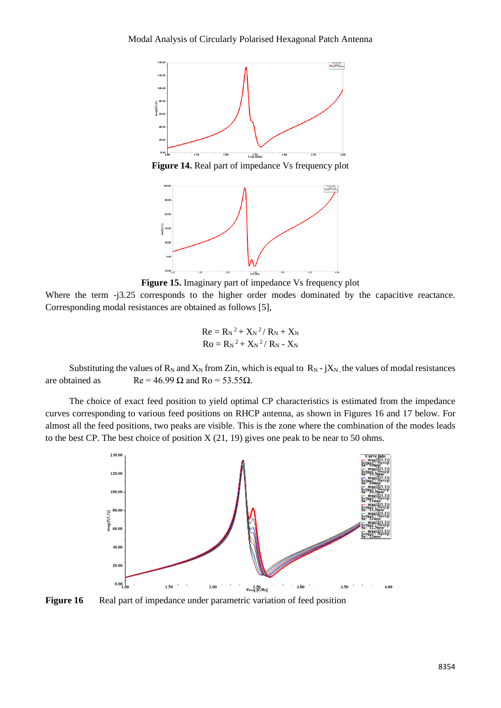

**Figure 14.** Real part of impedance Vs frequency plot



**Figure 15.** Imaginary part of impedance Vs frequency plot

Where the term -j3.25 corresponds to the higher order modes dominated by the capacitive reactance. Corresponding modal resistances are obtained as follows [5],

$$
Re = R_N^2 + X_N^2 / R_N + X_N
$$
  
Ro = R\_N^2 + X\_N^2 / R\_N - X\_N

Substituting the values of  $R_N$  and  $X_N$  from Zin, which is equal to  $R_N$  - j $X_N$ , the values of modal resistances are obtained as  $\text{Re} = 46.99 \Omega$  and  $\text{Ro} = 53.55 \Omega$ .

The choice of exact feed position to yield optimal CP characteristics is estimated from the impedance curves corresponding to various feed positions on RHCP antenna, as shown in Figures 16 and 17 below. For almost all the feed positions, two peaks are visible. This is the zone where the combination of the modes leads to the best CP. The best choice of position  $X(21, 19)$  gives one peak to be near to 50 ohms.



**Figure 16** Real part of impedance under parametric variation of feed position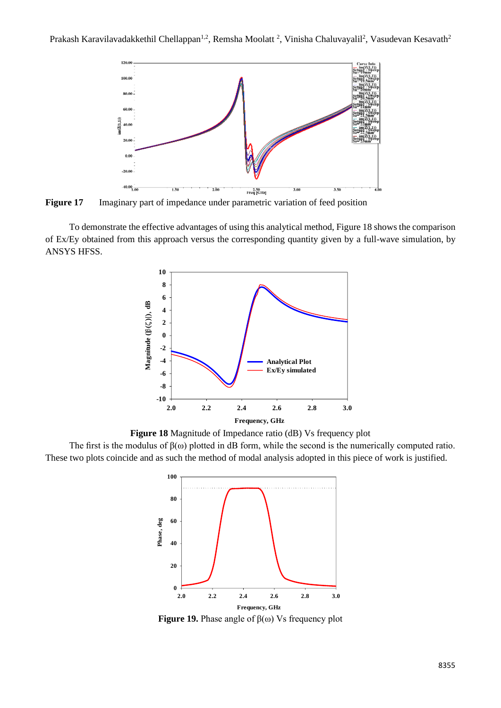

**Figure 17** Imaginary part of impedance under parametric variation of feed position

To demonstrate the effective advantages of using this analytical method, Figure 18 shows the comparison of Ex/Ey obtained from this approach versus the corresponding quantity given by a full-wave simulation, by ANSYS HFSS.



**Figure 18** Magnitude of Impedance ratio (dB) Vs frequency plot

The first is the modulus of  $\beta(\omega)$  plotted in dB form, while the second is the numerically computed ratio. These two plots coincide and as such the method of modal analysis adopted in this piece of work is justified.



**Figure 19.** Phase angle of  $β(ω)$  Vs frequency plot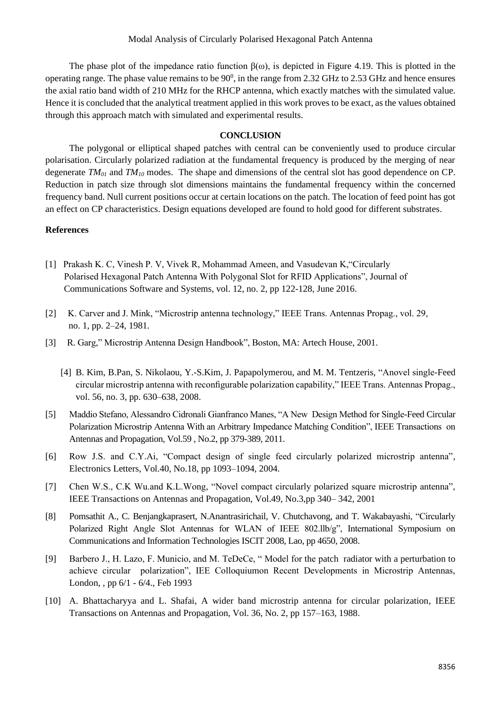The phase plot of the impedance ratio function  $\beta(\omega)$ , is depicted in Figure 4.19. This is plotted in the operating range. The phase value remains to be  $90^{\circ}$ , in the range from 2.32 GHz to 2.53 GHz and hence ensures the axial ratio band width of 210 MHz for the RHCP antenna, which exactly matches with the simulated value. Hence it is concluded that the analytical treatment applied in this work proves to be exact, as the values obtained through this approach match with simulated and experimental results.

# **CONCLUSION**

The polygonal or elliptical shaped patches with central can be conveniently used to produce circular polarisation. Circularly polarized radiation at the fundamental frequency is produced by the merging of near degenerate *TM<sup>01</sup>* and *TM<sup>10</sup>* modes. The shape and dimensions of the central slot has good dependence on CP. Reduction in patch size through slot dimensions maintains the fundamental frequency within the concerned frequency band. Null current positions occur at certain locations on the patch. The location of feed point has got an effect on CP characteristics. Design equations developed are found to hold good for different substrates.

#### **References**

- [1] Prakash K. C, Vinesh P. V, Vivek R, Mohammad Ameen, and Vasudevan K,"Circularly Polarised Hexagonal Patch Antenna With Polygonal Slot for RFID Applications", Journal of Communications Software and Systems, vol. 12, no. 2, pp 122-128, June 2016.
- [2] K. Carver and J. Mink, "Microstrip antenna technology," IEEE Trans. Antennas Propag., vol. 29, no. 1, pp. 2–24, 1981.
- [3] R. Garg," Microstrip Antenna Design Handbook", Boston, MA: Artech House, 2001.
	- [4] B. Kim, B.Pan, S. Nikolaou, Y.-S.Kim, J. Papapolymerou, and M. M. Tentzeris, "Anovel single-Feed circular microstrip antenna with reconfigurable polarization capability," IEEE Trans. Antennas Propag., vol. 56, no. 3, pp. 630–638, 2008.
- [5] Maddio Stefano, Alessandro Cidronali Gianfranco Manes, "A New Design Method for Single-Feed Circular Polarization Microstrip Antenna With an Arbitrary Impedance Matching Condition", IEEE Transactions on Antennas and Propagation, Vol.59 , No.2, pp 379-389, 2011.
- [6] Row J.S. and C.Y.Ai, "Compact design of single feed circularly polarized microstrip antenna", Electronics Letters, Vol.40, No.18, pp 1093–1094, 2004.
- [7] Chen W.S., C.K Wu.and K.L.Wong, "Novel compact circularly polarized square microstrip antenna", IEEE Transactions on Antennas and Propagation, Vol.49, No.3,pp 340– 342, 2001
- [8] Pomsathit A., C. Benjangkaprasert, N.Anantrasirichail, V. Chutchavong, and T. Wakabayashi, "Circularly Polarized Right Angle Slot Antennas for WLAN of IEEE 802.llb/g", International Symposium on Communications and Information Technologies ISCIT 2008, Lao, pp 4650, 2008.
- [9] Barbero J., H. Lazo, F. Municio, and M. TeDeCe, " Model for the patch radiator with a perturbation to achieve circular polarization", IEE Colloquiumon Recent Developments in Microstrip Antennas, London, , pp 6/1 - 6/4., Feb 1993
- [10] A. Bhattacharyya and L. Shafai, A wider band microstrip antenna for circular polarization, IEEE Transactions on Antennas and Propagation, Vol. 36, No. 2, pp 157–163, 1988.